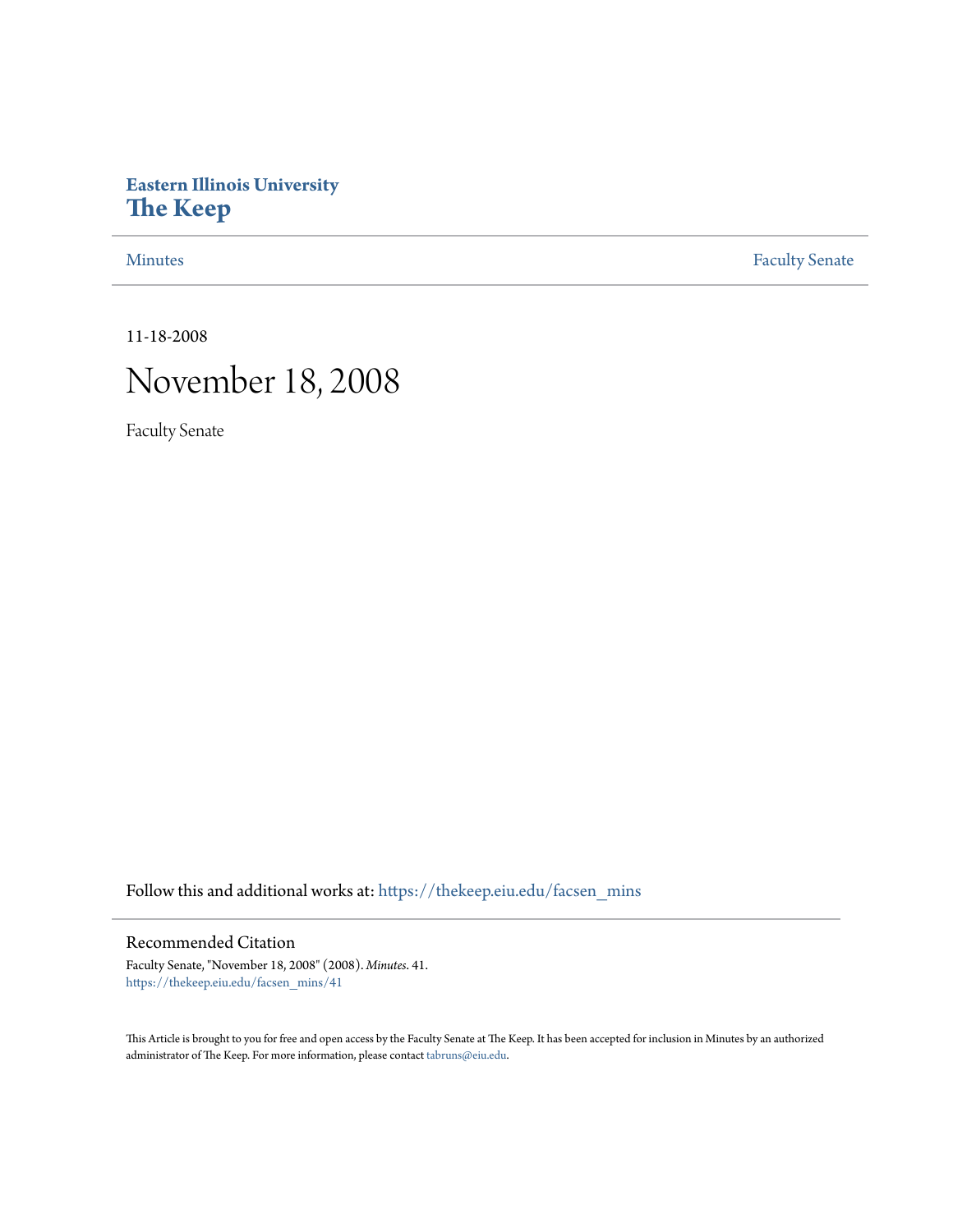## **Eastern Illinois University [The Keep](https://thekeep.eiu.edu?utm_source=thekeep.eiu.edu%2Ffacsen_mins%2F41&utm_medium=PDF&utm_campaign=PDFCoverPages)**

[Minutes](https://thekeep.eiu.edu/facsen_mins?utm_source=thekeep.eiu.edu%2Ffacsen_mins%2F41&utm_medium=PDF&utm_campaign=PDFCoverPages) **[Faculty Senate](https://thekeep.eiu.edu/fac_senate?utm_source=thekeep.eiu.edu%2Ffacsen_mins%2F41&utm_medium=PDF&utm_campaign=PDFCoverPages)** 

11-18-2008

# November 18, 2008

Faculty Senate

Follow this and additional works at: [https://thekeep.eiu.edu/facsen\\_mins](https://thekeep.eiu.edu/facsen_mins?utm_source=thekeep.eiu.edu%2Ffacsen_mins%2F41&utm_medium=PDF&utm_campaign=PDFCoverPages)

### Recommended Citation

Faculty Senate, "November 18, 2008" (2008). *Minutes*. 41. [https://thekeep.eiu.edu/facsen\\_mins/41](https://thekeep.eiu.edu/facsen_mins/41?utm_source=thekeep.eiu.edu%2Ffacsen_mins%2F41&utm_medium=PDF&utm_campaign=PDFCoverPages)

This Article is brought to you for free and open access by the Faculty Senate at The Keep. It has been accepted for inclusion in Minutes by an authorized administrator of The Keep. For more information, please contact [tabruns@eiu.edu.](mailto:tabruns@eiu.edu)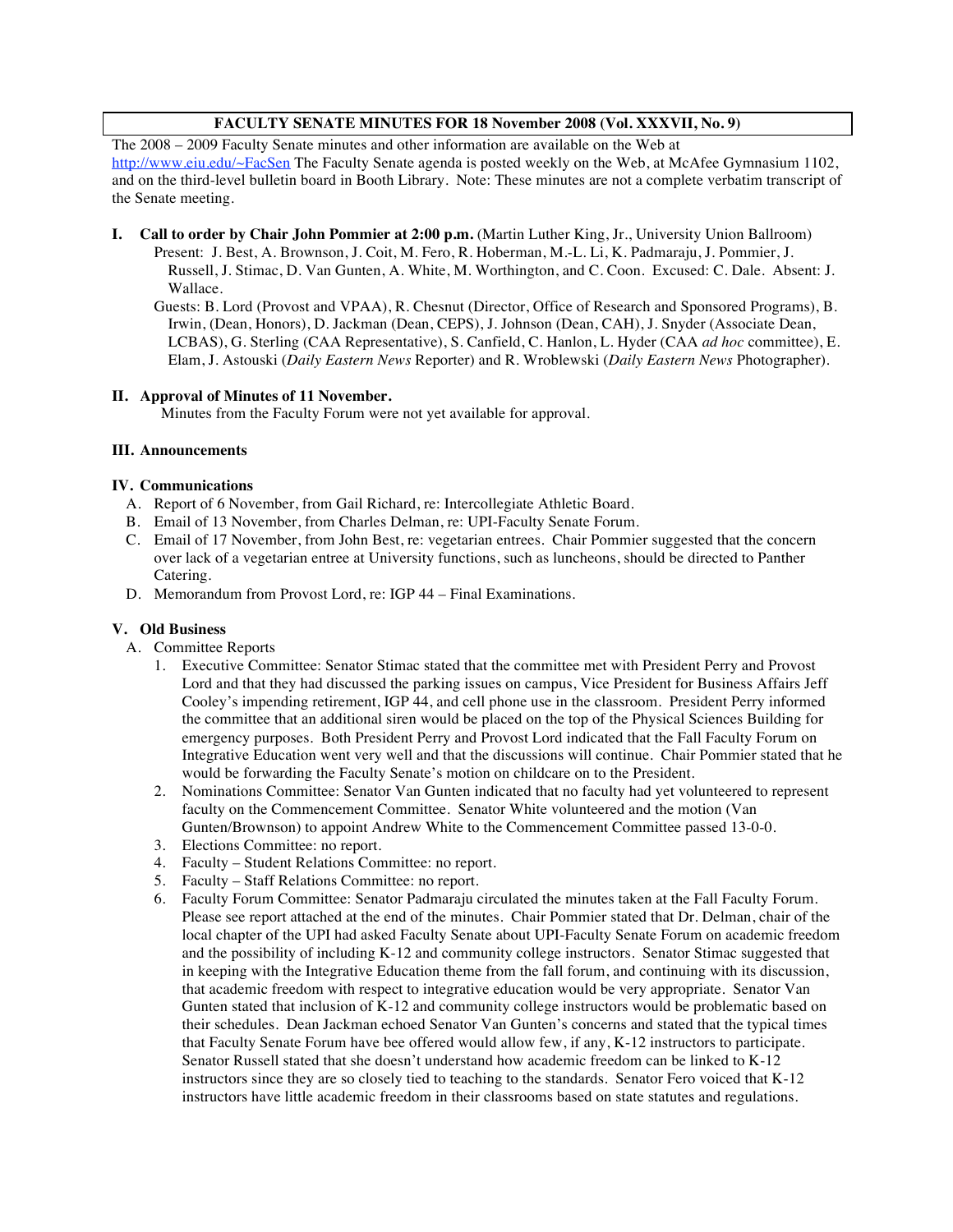### **FACULTY SENATE MINUTES FOR 18 November 2008 (Vol. XXXVII, No. 9)**

The 2008 – 2009 Faculty Senate minutes and other information are available on the Web at http://www.eiu.edu/~FacSen The Faculty Senate agenda is posted weekly on the Web, at McAfee Gymnasium 1102, and on the third-level bulletin board in Booth Library. Note: These minutes are not a complete verbatim transcript of the Senate meeting.

- **I. Call to order by Chair John Pommier at 2:00 p.m.** (Martin Luther King, Jr., University Union Ballroom)
	- Present: J. Best, A. Brownson, J. Coit, M. Fero, R. Hoberman, M.-L. Li, K. Padmaraju, J. Pommier, J. Russell, J. Stimac, D. Van Gunten, A. White, M. Worthington, and C. Coon. Excused: C. Dale. Absent: J. Wallace.

Guests: B. Lord (Provost and VPAA), R. Chesnut (Director, Office of Research and Sponsored Programs), B. Irwin, (Dean, Honors), D. Jackman (Dean, CEPS), J. Johnson (Dean, CAH), J. Snyder (Associate Dean, LCBAS), G. Sterling (CAA Representative), S. Canfield, C. Hanlon, L. Hyder (CAA *ad hoc* committee), E. Elam, J. Astouski (*Daily Eastern News* Reporter) and R. Wroblewski (*Daily Eastern News* Photographer).

### **II. Approval of Minutes of 11 November.**

Minutes from the Faculty Forum were not yet available for approval.

### **III. Announcements**

### **IV. Communications**

- A. Report of 6 November, from Gail Richard, re: Intercollegiate Athletic Board.
- B. Email of 13 November, from Charles Delman, re: UPI-Faculty Senate Forum.
- C. Email of 17 November, from John Best, re: vegetarian entrees. Chair Pommier suggested that the concern over lack of a vegetarian entree at University functions, such as luncheons, should be directed to Panther Catering.
- D. Memorandum from Provost Lord, re: IGP 44 Final Examinations.

### **V. Old Business**

- A. Committee Reports
	- 1. Executive Committee: Senator Stimac stated that the committee met with President Perry and Provost Lord and that they had discussed the parking issues on campus, Vice President for Business Affairs Jeff Cooley's impending retirement, IGP 44, and cell phone use in the classroom. President Perry informed the committee that an additional siren would be placed on the top of the Physical Sciences Building for emergency purposes. Both President Perry and Provost Lord indicated that the Fall Faculty Forum on Integrative Education went very well and that the discussions will continue. Chair Pommier stated that he would be forwarding the Faculty Senate's motion on childcare on to the President.
	- 2. Nominations Committee: Senator Van Gunten indicated that no faculty had yet volunteered to represent faculty on the Commencement Committee. Senator White volunteered and the motion (Van Gunten/Brownson) to appoint Andrew White to the Commencement Committee passed 13-0-0.
	- 3. Elections Committee: no report.
	- 4. Faculty Student Relations Committee: no report.
	- 5. Faculty Staff Relations Committee: no report.
	- 6. Faculty Forum Committee: Senator Padmaraju circulated the minutes taken at the Fall Faculty Forum. Please see report attached at the end of the minutes. Chair Pommier stated that Dr. Delman, chair of the local chapter of the UPI had asked Faculty Senate about UPI-Faculty Senate Forum on academic freedom and the possibility of including K-12 and community college instructors. Senator Stimac suggested that in keeping with the Integrative Education theme from the fall forum, and continuing with its discussion, that academic freedom with respect to integrative education would be very appropriate. Senator Van Gunten stated that inclusion of K-12 and community college instructors would be problematic based on their schedules. Dean Jackman echoed Senator Van Gunten's concerns and stated that the typical times that Faculty Senate Forum have bee offered would allow few, if any, K-12 instructors to participate. Senator Russell stated that she doesn't understand how academic freedom can be linked to K-12 instructors since they are so closely tied to teaching to the standards. Senator Fero voiced that K-12 instructors have little academic freedom in their classrooms based on state statutes and regulations.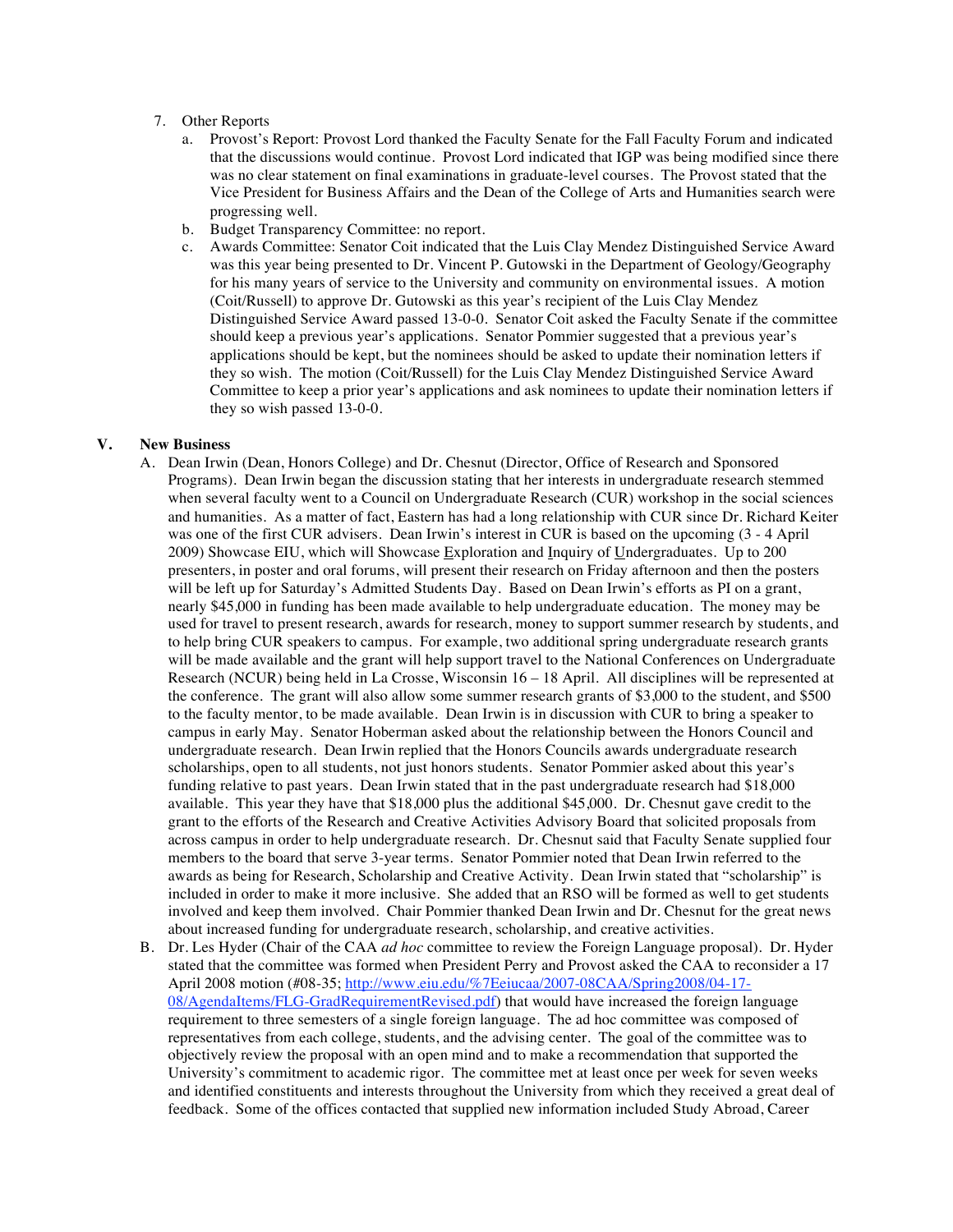- 7. Other Reports
	- a. Provost's Report: Provost Lord thanked the Faculty Senate for the Fall Faculty Forum and indicated that the discussions would continue. Provost Lord indicated that IGP was being modified since there was no clear statement on final examinations in graduate-level courses. The Provost stated that the Vice President for Business Affairs and the Dean of the College of Arts and Humanities search were progressing well.
	- b. Budget Transparency Committee: no report.
	- c. Awards Committee: Senator Coit indicated that the Luis Clay Mendez Distinguished Service Award was this year being presented to Dr. Vincent P. Gutowski in the Department of Geology/Geography for his many years of service to the University and community on environmental issues. A motion (Coit/Russell) to approve Dr. Gutowski as this year's recipient of the Luis Clay Mendez Distinguished Service Award passed 13-0-0. Senator Coit asked the Faculty Senate if the committee should keep a previous year's applications. Senator Pommier suggested that a previous year's applications should be kept, but the nominees should be asked to update their nomination letters if they so wish. The motion (Coit/Russell) for the Luis Clay Mendez Distinguished Service Award Committee to keep a prior year's applications and ask nominees to update their nomination letters if they so wish passed 13-0-0.

### **V. New Business**

- A. Dean Irwin (Dean, Honors College) and Dr. Chesnut (Director, Office of Research and Sponsored Programs). Dean Irwin began the discussion stating that her interests in undergraduate research stemmed when several faculty went to a Council on Undergraduate Research (CUR) workshop in the social sciences and humanities. As a matter of fact, Eastern has had a long relationship with CUR since Dr. Richard Keiter was one of the first CUR advisers. Dean Irwin's interest in CUR is based on the upcoming (3 - 4 April 2009) Showcase EIU, which will Showcase Exploration and Inquiry of Undergraduates. Up to 200 presenters, in poster and oral forums, will present their research on Friday afternoon and then the posters will be left up for Saturday's Admitted Students Day. Based on Dean Irwin's efforts as PI on a grant, nearly \$45,000 in funding has been made available to help undergraduate education. The money may be used for travel to present research, awards for research, money to support summer research by students, and to help bring CUR speakers to campus. For example, two additional spring undergraduate research grants will be made available and the grant will help support travel to the National Conferences on Undergraduate Research (NCUR) being held in La Crosse, Wisconsin 16 – 18 April. All disciplines will be represented at the conference. The grant will also allow some summer research grants of \$3,000 to the student, and \$500 to the faculty mentor, to be made available. Dean Irwin is in discussion with CUR to bring a speaker to campus in early May. Senator Hoberman asked about the relationship between the Honors Council and undergraduate research. Dean Irwin replied that the Honors Councils awards undergraduate research scholarships, open to all students, not just honors students. Senator Pommier asked about this year's funding relative to past years. Dean Irwin stated that in the past undergraduate research had \$18,000 available. This year they have that \$18,000 plus the additional \$45,000. Dr. Chesnut gave credit to the grant to the efforts of the Research and Creative Activities Advisory Board that solicited proposals from across campus in order to help undergraduate research. Dr. Chesnut said that Faculty Senate supplied four members to the board that serve 3-year terms. Senator Pommier noted that Dean Irwin referred to the awards as being for Research, Scholarship and Creative Activity. Dean Irwin stated that "scholarship" is included in order to make it more inclusive. She added that an RSO will be formed as well to get students involved and keep them involved. Chair Pommier thanked Dean Irwin and Dr. Chesnut for the great news about increased funding for undergraduate research, scholarship, and creative activities.
- B. Dr. Les Hyder (Chair of the CAA *ad hoc* committee to review the Foreign Language proposal). Dr. Hyder stated that the committee was formed when President Perry and Provost asked the CAA to reconsider a 17 April 2008 motion (#08-35; http://www.eiu.edu/%7Eeiucaa/2007-08CAA/Spring2008/04-17-08/AgendaItems/FLG-GradRequirementRevised.pdf) that would have increased the foreign language requirement to three semesters of a single foreign language. The ad hoc committee was composed of representatives from each college, students, and the advising center. The goal of the committee was to objectively review the proposal with an open mind and to make a recommendation that supported the University's commitment to academic rigor. The committee met at least once per week for seven weeks and identified constituents and interests throughout the University from which they received a great deal of feedback. Some of the offices contacted that supplied new information included Study Abroad, Career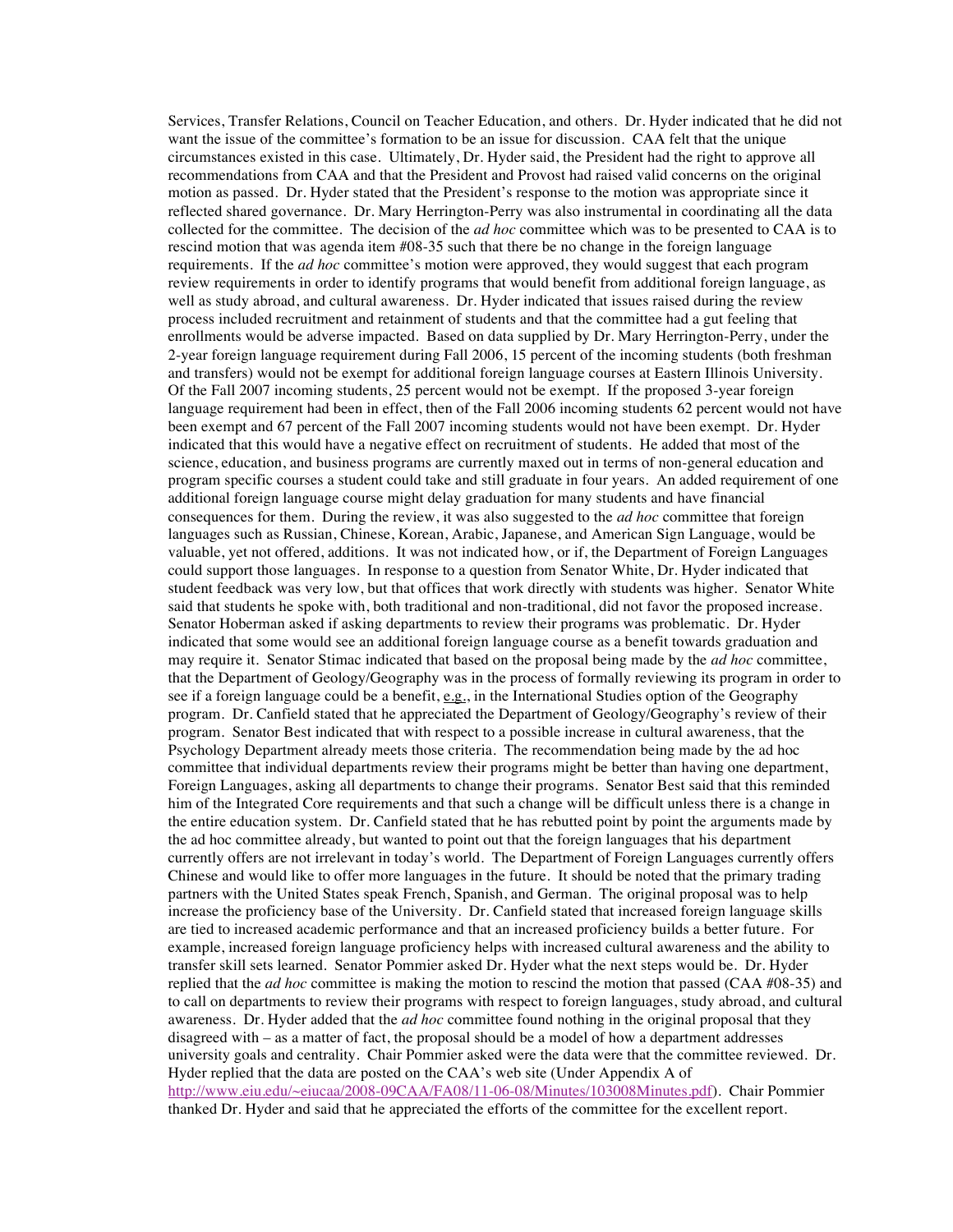Services, Transfer Relations, Council on Teacher Education, and others. Dr. Hyder indicated that he did not want the issue of the committee's formation to be an issue for discussion. CAA felt that the unique circumstances existed in this case. Ultimately, Dr. Hyder said, the President had the right to approve all recommendations from CAA and that the President and Provost had raised valid concerns on the original motion as passed. Dr. Hyder stated that the President's response to the motion was appropriate since it reflected shared governance. Dr. Mary Herrington-Perry was also instrumental in coordinating all the data collected for the committee. The decision of the *ad hoc* committee which was to be presented to CAA is to rescind motion that was agenda item #08-35 such that there be no change in the foreign language requirements. If the *ad hoc* committee's motion were approved, they would suggest that each program review requirements in order to identify programs that would benefit from additional foreign language, as well as study abroad, and cultural awareness. Dr. Hyder indicated that issues raised during the review process included recruitment and retainment of students and that the committee had a gut feeling that enrollments would be adverse impacted. Based on data supplied by Dr. Mary Herrington-Perry, under the 2-year foreign language requirement during Fall 2006, 15 percent of the incoming students (both freshman and transfers) would not be exempt for additional foreign language courses at Eastern Illinois University. Of the Fall 2007 incoming students, 25 percent would not be exempt. If the proposed 3-year foreign language requirement had been in effect, then of the Fall 2006 incoming students 62 percent would not have been exempt and 67 percent of the Fall 2007 incoming students would not have been exempt. Dr. Hyder indicated that this would have a negative effect on recruitment of students. He added that most of the science, education, and business programs are currently maxed out in terms of non-general education and program specific courses a student could take and still graduate in four years. An added requirement of one additional foreign language course might delay graduation for many students and have financial consequences for them. During the review, it was also suggested to the *ad hoc* committee that foreign languages such as Russian, Chinese, Korean, Arabic, Japanese, and American Sign Language, would be valuable, yet not offered, additions. It was not indicated how, or if, the Department of Foreign Languages could support those languages. In response to a question from Senator White, Dr. Hyder indicated that student feedback was very low, but that offices that work directly with students was higher. Senator White said that students he spoke with, both traditional and non-traditional, did not favor the proposed increase. Senator Hoberman asked if asking departments to review their programs was problematic. Dr. Hyder indicated that some would see an additional foreign language course as a benefit towards graduation and may require it. Senator Stimac indicated that based on the proposal being made by the *ad hoc* committee, that the Department of Geology/Geography was in the process of formally reviewing its program in order to see if a foreign language could be a benefit,  $e.g.,$  in the International Studies option of the Geography program. Dr. Canfield stated that he appreciated the Department of Geology/Geography's review of their program. Senator Best indicated that with respect to a possible increase in cultural awareness, that the Psychology Department already meets those criteria. The recommendation being made by the ad hoc committee that individual departments review their programs might be better than having one department, Foreign Languages, asking all departments to change their programs. Senator Best said that this reminded him of the Integrated Core requirements and that such a change will be difficult unless there is a change in the entire education system. Dr. Canfield stated that he has rebutted point by point the arguments made by the ad hoc committee already, but wanted to point out that the foreign languages that his department currently offers are not irrelevant in today's world. The Department of Foreign Languages currently offers Chinese and would like to offer more languages in the future. It should be noted that the primary trading partners with the United States speak French, Spanish, and German. The original proposal was to help increase the proficiency base of the University. Dr. Canfield stated that increased foreign language skills are tied to increased academic performance and that an increased proficiency builds a better future. For example, increased foreign language proficiency helps with increased cultural awareness and the ability to transfer skill sets learned. Senator Pommier asked Dr. Hyder what the next steps would be. Dr. Hyder replied that the *ad hoc* committee is making the motion to rescind the motion that passed (CAA #08-35) and to call on departments to review their programs with respect to foreign languages, study abroad, and cultural awareness. Dr. Hyder added that the *ad hoc* committee found nothing in the original proposal that they disagreed with – as a matter of fact, the proposal should be a model of how a department addresses university goals and centrality. Chair Pommier asked were the data were that the committee reviewed. Dr. Hyder replied that the data are posted on the CAA's web site (Under Appendix A of http://www.eiu.edu/~eiucaa/2008-09CAA/FA08/11-06-08/Minutes/103008Minutes.pdf). Chair Pommier thanked Dr. Hyder and said that he appreciated the efforts of the committee for the excellent report.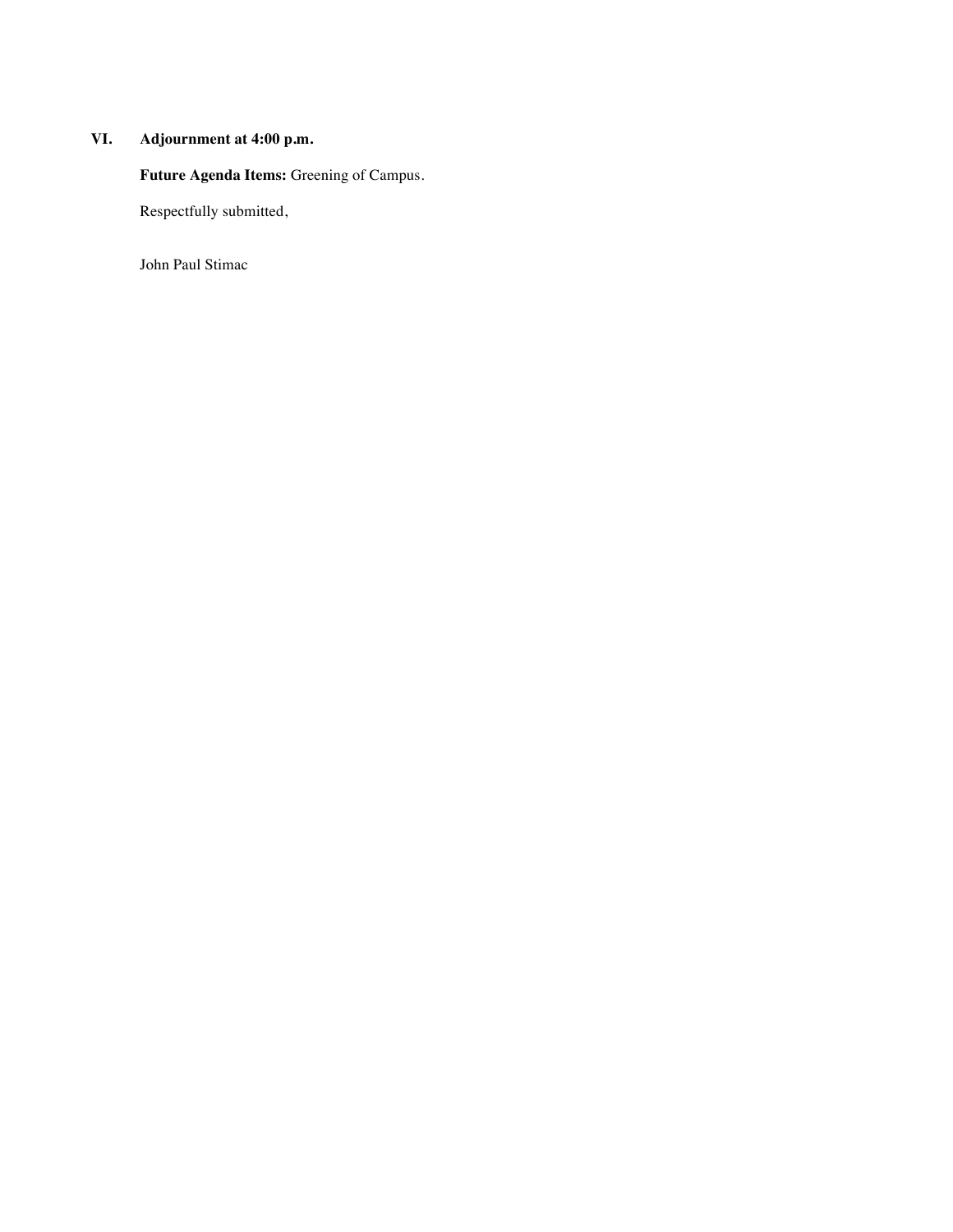### **VI. Adjournment at 4:00 p.m.**

**Future Agenda Items:** Greening of Campus.

Respectfully submitted,

John Paul Stimac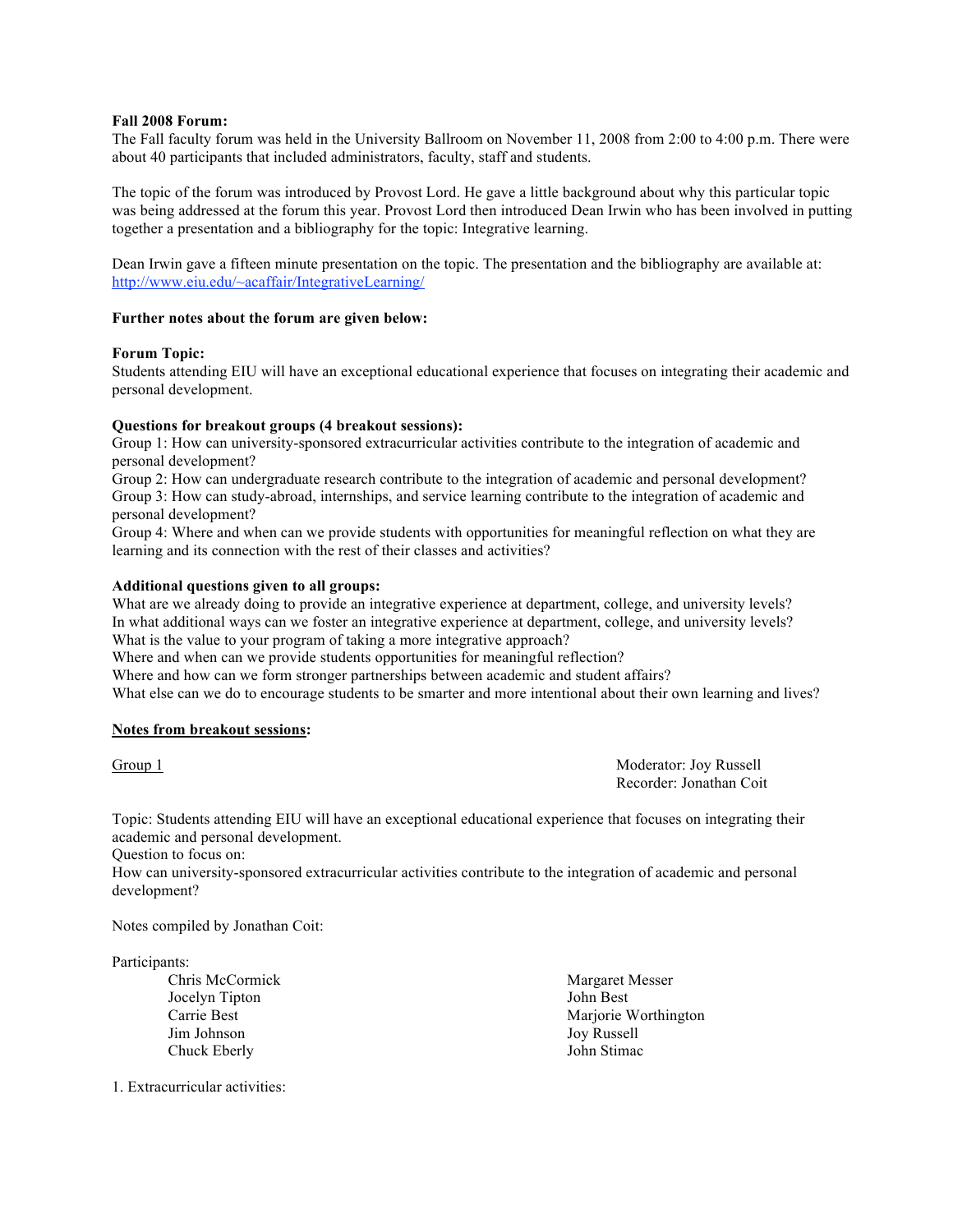### **Fall 2008 Forum:**

The Fall faculty forum was held in the University Ballroom on November 11, 2008 from 2:00 to 4:00 p.m. There were about 40 participants that included administrators, faculty, staff and students.

The topic of the forum was introduced by Provost Lord. He gave a little background about why this particular topic was being addressed at the forum this year. Provost Lord then introduced Dean Irwin who has been involved in putting together a presentation and a bibliography for the topic: Integrative learning.

Dean Irwin gave a fifteen minute presentation on the topic. The presentation and the bibliography are available at: http://www.eiu.edu/~acaffair/IntegrativeLearning/

### **Further notes about the forum are given below:**

### **Forum Topic:**

Students attending EIU will have an exceptional educational experience that focuses on integrating their academic and personal development.

### **Questions for breakout groups (4 breakout sessions):**

Group 1: How can university-sponsored extracurricular activities contribute to the integration of academic and personal development?

Group 2: How can undergraduate research contribute to the integration of academic and personal development? Group 3: How can study-abroad, internships, and service learning contribute to the integration of academic and personal development?

Group 4: Where and when can we provide students with opportunities for meaningful reflection on what they are learning and its connection with the rest of their classes and activities?

### **Additional questions given to all groups:**

What are we already doing to provide an integrative experience at department, college, and university levels? In what additional ways can we foster an integrative experience at department, college, and university levels? What is the value to your program of taking a more integrative approach?

Where and when can we provide students opportunities for meaningful reflection?

Where and how can we form stronger partnerships between academic and student affairs?

What else can we do to encourage students to be smarter and more intentional about their own learning and lives?

### **Notes from breakout sessions:**

Group 1 Moderator: Joy Russell Recorder: Jonathan Coit

Topic: Students attending EIU will have an exceptional educational experience that focuses on integrating their academic and personal development.

Question to focus on:

How can university-sponsored extracurricular activities contribute to the integration of academic and personal development?

Notes compiled by Jonathan Coit:

Participants:

Chris McCormick Jocelyn Tipton Carrie Best Jim Johnson Chuck Eberly

Margaret Messer John Best Marjorie Worthington Joy Russell John Stimac

1. Extracurricular activities: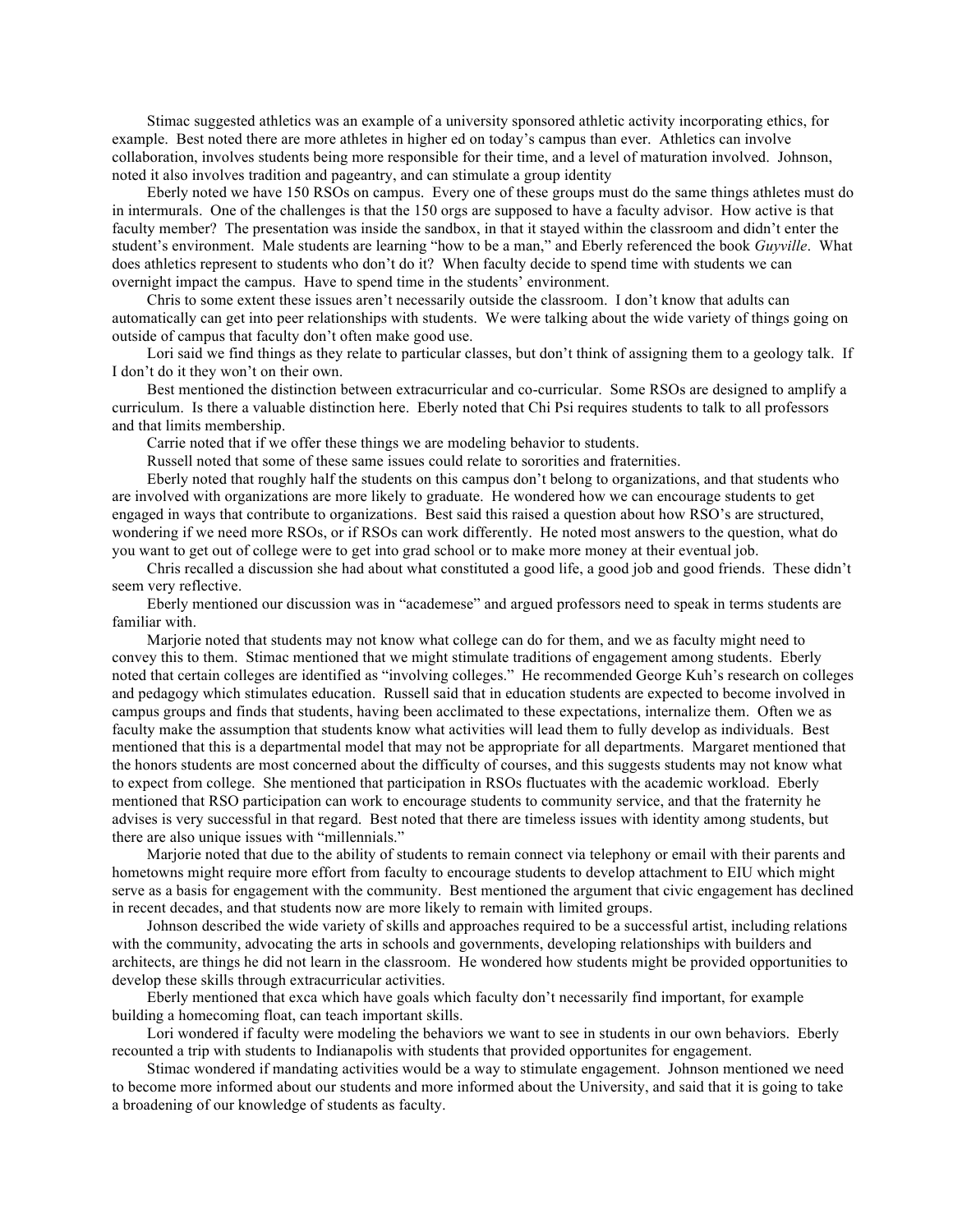Stimac suggested athletics was an example of a university sponsored athletic activity incorporating ethics, for example. Best noted there are more athletes in higher ed on today's campus than ever. Athletics can involve collaboration, involves students being more responsible for their time, and a level of maturation involved. Johnson, noted it also involves tradition and pageantry, and can stimulate a group identity

Eberly noted we have 150 RSOs on campus. Every one of these groups must do the same things athletes must do in intermurals. One of the challenges is that the 150 orgs are supposed to have a faculty advisor. How active is that faculty member? The presentation was inside the sandbox, in that it stayed within the classroom and didn't enter the student's environment. Male students are learning "how to be a man," and Eberly referenced the book *Guyville*. What does athletics represent to students who don't do it? When faculty decide to spend time with students we can overnight impact the campus. Have to spend time in the students' environment.

Chris to some extent these issues aren't necessarily outside the classroom. I don't know that adults can automatically can get into peer relationships with students. We were talking about the wide variety of things going on outside of campus that faculty don't often make good use.

Lori said we find things as they relate to particular classes, but don't think of assigning them to a geology talk. If I don't do it they won't on their own.

Best mentioned the distinction between extracurricular and co-curricular. Some RSOs are designed to amplify a curriculum. Is there a valuable distinction here. Eberly noted that Chi Psi requires students to talk to all professors and that limits membership.

Carrie noted that if we offer these things we are modeling behavior to students.

Russell noted that some of these same issues could relate to sororities and fraternities.

Eberly noted that roughly half the students on this campus don't belong to organizations, and that students who are involved with organizations are more likely to graduate. He wondered how we can encourage students to get engaged in ways that contribute to organizations. Best said this raised a question about how RSO's are structured, wondering if we need more RSOs, or if RSOs can work differently. He noted most answers to the question, what do you want to get out of college were to get into grad school or to make more money at their eventual job.

Chris recalled a discussion she had about what constituted a good life, a good job and good friends. These didn't seem very reflective.

Eberly mentioned our discussion was in "academese" and argued professors need to speak in terms students are familiar with.

Marjorie noted that students may not know what college can do for them, and we as faculty might need to convey this to them. Stimac mentioned that we might stimulate traditions of engagement among students. Eberly noted that certain colleges are identified as "involving colleges." He recommended George Kuh's research on colleges and pedagogy which stimulates education. Russell said that in education students are expected to become involved in campus groups and finds that students, having been acclimated to these expectations, internalize them. Often we as faculty make the assumption that students know what activities will lead them to fully develop as individuals. Best mentioned that this is a departmental model that may not be appropriate for all departments. Margaret mentioned that the honors students are most concerned about the difficulty of courses, and this suggests students may not know what to expect from college. She mentioned that participation in RSOs fluctuates with the academic workload. Eberly mentioned that RSO participation can work to encourage students to community service, and that the fraternity he advises is very successful in that regard. Best noted that there are timeless issues with identity among students, but there are also unique issues with "millennials."

Marjorie noted that due to the ability of students to remain connect via telephony or email with their parents and hometowns might require more effort from faculty to encourage students to develop attachment to EIU which might serve as a basis for engagement with the community. Best mentioned the argument that civic engagement has declined in recent decades, and that students now are more likely to remain with limited groups.

Johnson described the wide variety of skills and approaches required to be a successful artist, including relations with the community, advocating the arts in schools and governments, developing relationships with builders and architects, are things he did not learn in the classroom. He wondered how students might be provided opportunities to develop these skills through extracurricular activities.

Eberly mentioned that exca which have goals which faculty don't necessarily find important, for example building a homecoming float, can teach important skills.

Lori wondered if faculty were modeling the behaviors we want to see in students in our own behaviors. Eberly recounted a trip with students to Indianapolis with students that provided opportunites for engagement.

Stimac wondered if mandating activities would be a way to stimulate engagement. Johnson mentioned we need to become more informed about our students and more informed about the University, and said that it is going to take a broadening of our knowledge of students as faculty.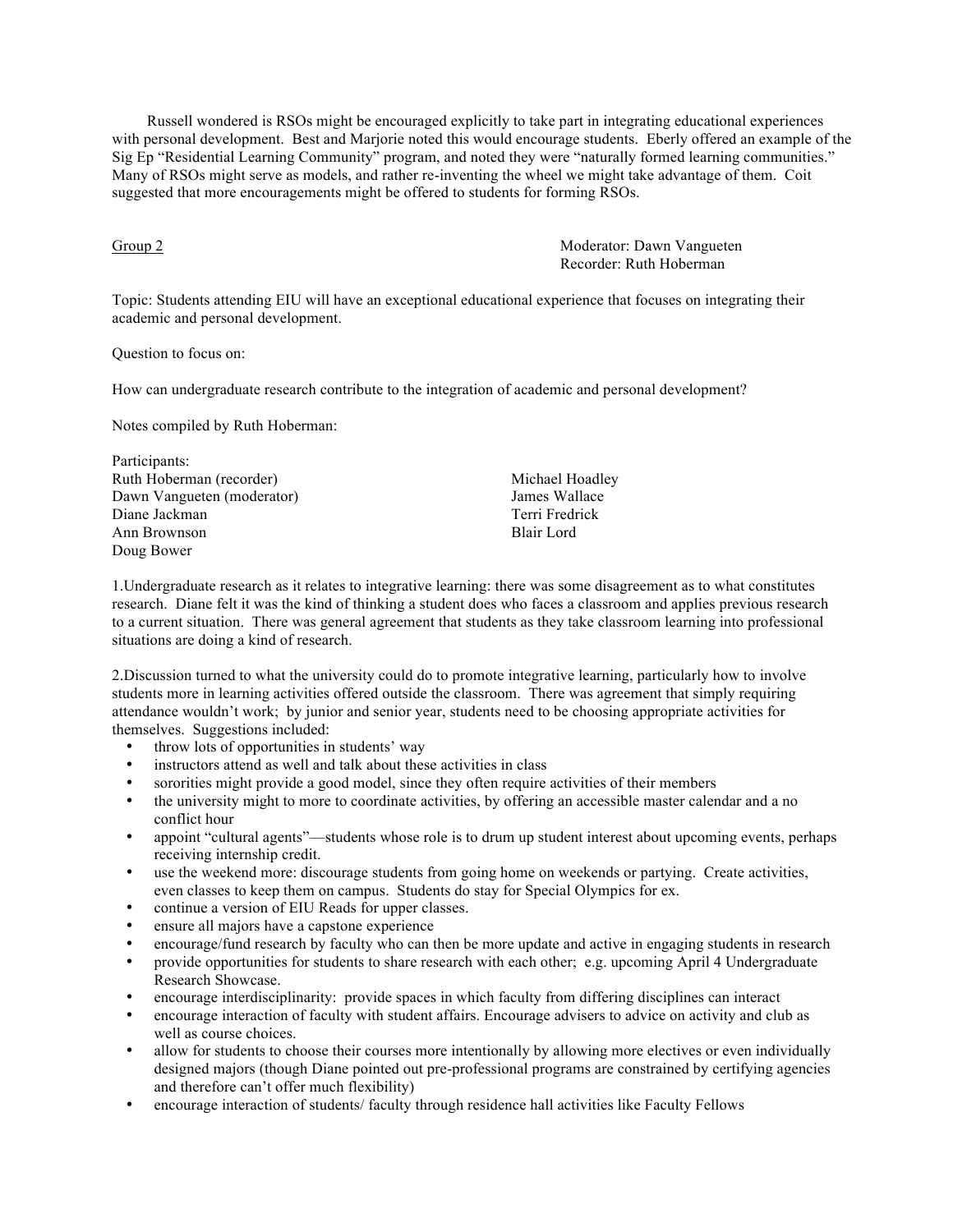Russell wondered is RSOs might be encouraged explicitly to take part in integrating educational experiences with personal development. Best and Marjorie noted this would encourage students. Eberly offered an example of the Sig Ep "Residential Learning Community" program, and noted they were "naturally formed learning communities." Many of RSOs might serve as models, and rather re-inventing the wheel we might take advantage of them. Coit suggested that more encouragements might be offered to students for forming RSOs.

Group 2 Moderator: Dawn Vangueten Recorder: Ruth Hoberman

Topic: Students attending EIU will have an exceptional educational experience that focuses on integrating their academic and personal development.

Question to focus on:

How can undergraduate research contribute to the integration of academic and personal development?

Notes compiled by Ruth Hoberman:

| Participants:              |                 |
|----------------------------|-----------------|
| Ruth Hoberman (recorder)   | Michael Hoadley |
| Dawn Vangueten (moderator) | James Wallace   |
| Diane Jackman              | Terri Fredrick  |
| Ann Brownson               | Blair Lord      |
| Doug Bower                 |                 |

1.Undergraduate research as it relates to integrative learning: there was some disagreement as to what constitutes research. Diane felt it was the kind of thinking a student does who faces a classroom and applies previous research to a current situation. There was general agreement that students as they take classroom learning into professional situations are doing a kind of research.

2.Discussion turned to what the university could do to promote integrative learning, particularly how to involve students more in learning activities offered outside the classroom. There was agreement that simply requiring attendance wouldn't work; by junior and senior year, students need to be choosing appropriate activities for themselves. Suggestions included:

- throw lots of opportunities in students' way
- instructors attend as well and talk about these activities in class
- sororities might provide a good model, since they often require activities of their members
- the university might to more to coordinate activities, by offering an accessible master calendar and a no conflict hour
- appoint "cultural agents"—students whose role is to drum up student interest about upcoming events, perhaps receiving internship credit.
- use the weekend more: discourage students from going home on weekends or partying. Create activities, even classes to keep them on campus. Students do stay for Special Olympics for ex.
- continue a version of EIU Reads for upper classes.
- ensure all majors have a capstone experience
- encourage/fund research by faculty who can then be more update and active in engaging students in research
- provide opportunities for students to share research with each other; e.g. upcoming April 4 Undergraduate Research Showcase.
- encourage interdisciplinarity: provide spaces in which faculty from differing disciplines can interact
- encourage interaction of faculty with student affairs. Encourage advisers to advice on activity and club as well as course choices.
- allow for students to choose their courses more intentionally by allowing more electives or even individually designed majors (though Diane pointed out pre-professional programs are constrained by certifying agencies and therefore can't offer much flexibility)
- encourage interaction of students/ faculty through residence hall activities like Faculty Fellows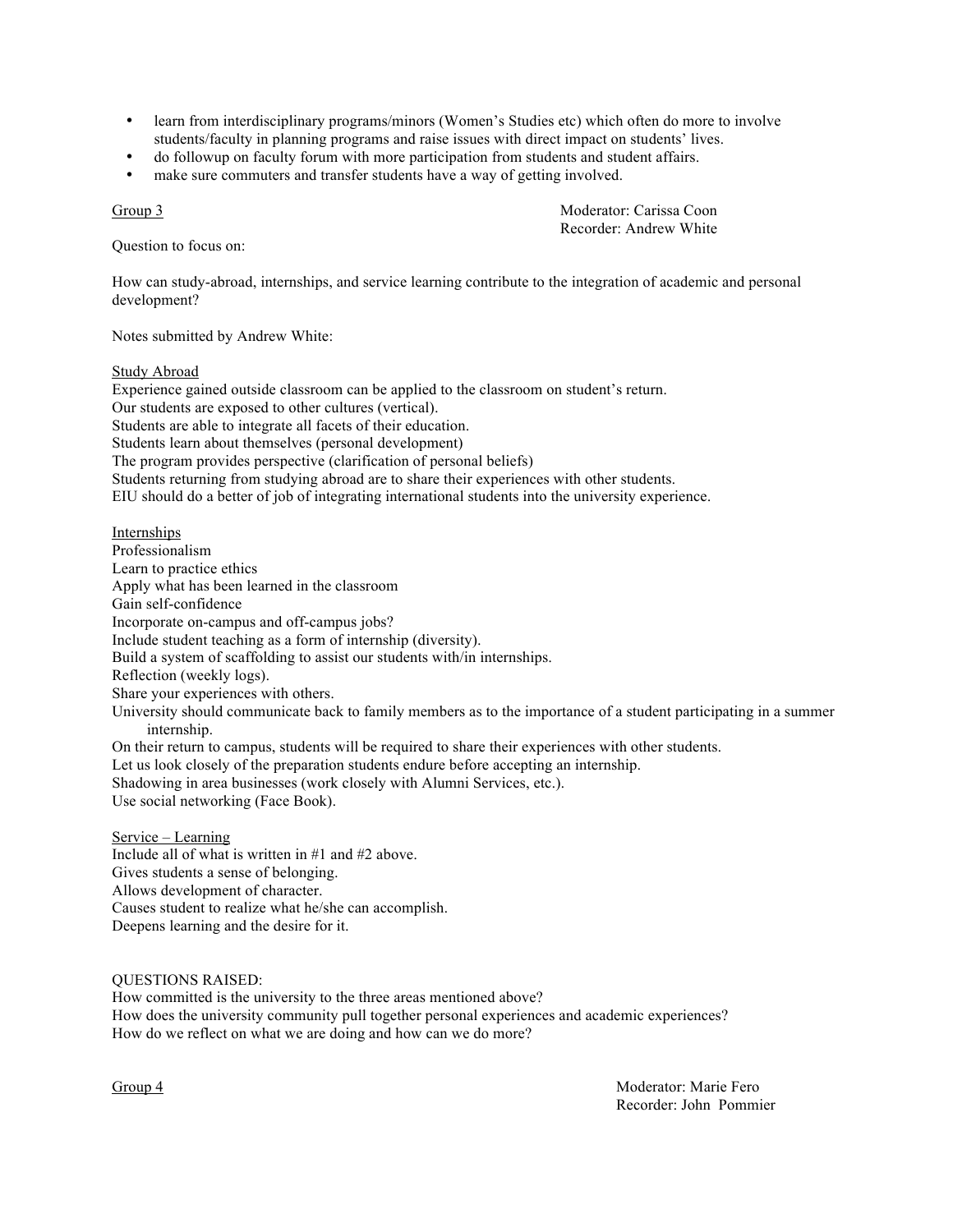- learn from interdisciplinary programs/minors (Women's Studies etc) which often do more to involve students/faculty in planning programs and raise issues with direct impact on students' lives.
- do followup on faculty forum with more participation from students and student affairs.
- make sure commuters and transfer students have a way of getting involved.

Question to focus on:

Group 3 Moderator: Carissa Coon Recorder: Andrew White

How can study-abroad, internships, and service learning contribute to the integration of academic and personal development?

Notes submitted by Andrew White:

### Study Abroad

Experience gained outside classroom can be applied to the classroom on student's return. Our students are exposed to other cultures (vertical). Students are able to integrate all facets of their education. Students learn about themselves (personal development) The program provides perspective (clarification of personal beliefs) Students returning from studying abroad are to share their experiences with other students. EIU should do a better of job of integrating international students into the university experience.

Internships Professionalism Learn to practice ethics Apply what has been learned in the classroom Gain self-confidence Incorporate on-campus and off-campus jobs? Include student teaching as a form of internship (diversity). Build a system of scaffolding to assist our students with/in internships. Reflection (weekly logs). Share your experiences with others. University should communicate back to family members as to the importance of a student participating in a summer internship. On their return to campus, students will be required to share their experiences with other students. Let us look closely of the preparation students endure before accepting an internship. Shadowing in area businesses (work closely with Alumni Services, etc.).

Use social networking (Face Book).

Service – Learning Include all of what is written in #1 and #2 above. Gives students a sense of belonging. Allows development of character. Causes student to realize what he/she can accomplish. Deepens learning and the desire for it.

QUESTIONS RAISED:

How committed is the university to the three areas mentioned above? How does the university community pull together personal experiences and academic experiences? How do we reflect on what we are doing and how can we do more?

Group 4 Moderator: Marie Fero Recorder: John Pommier